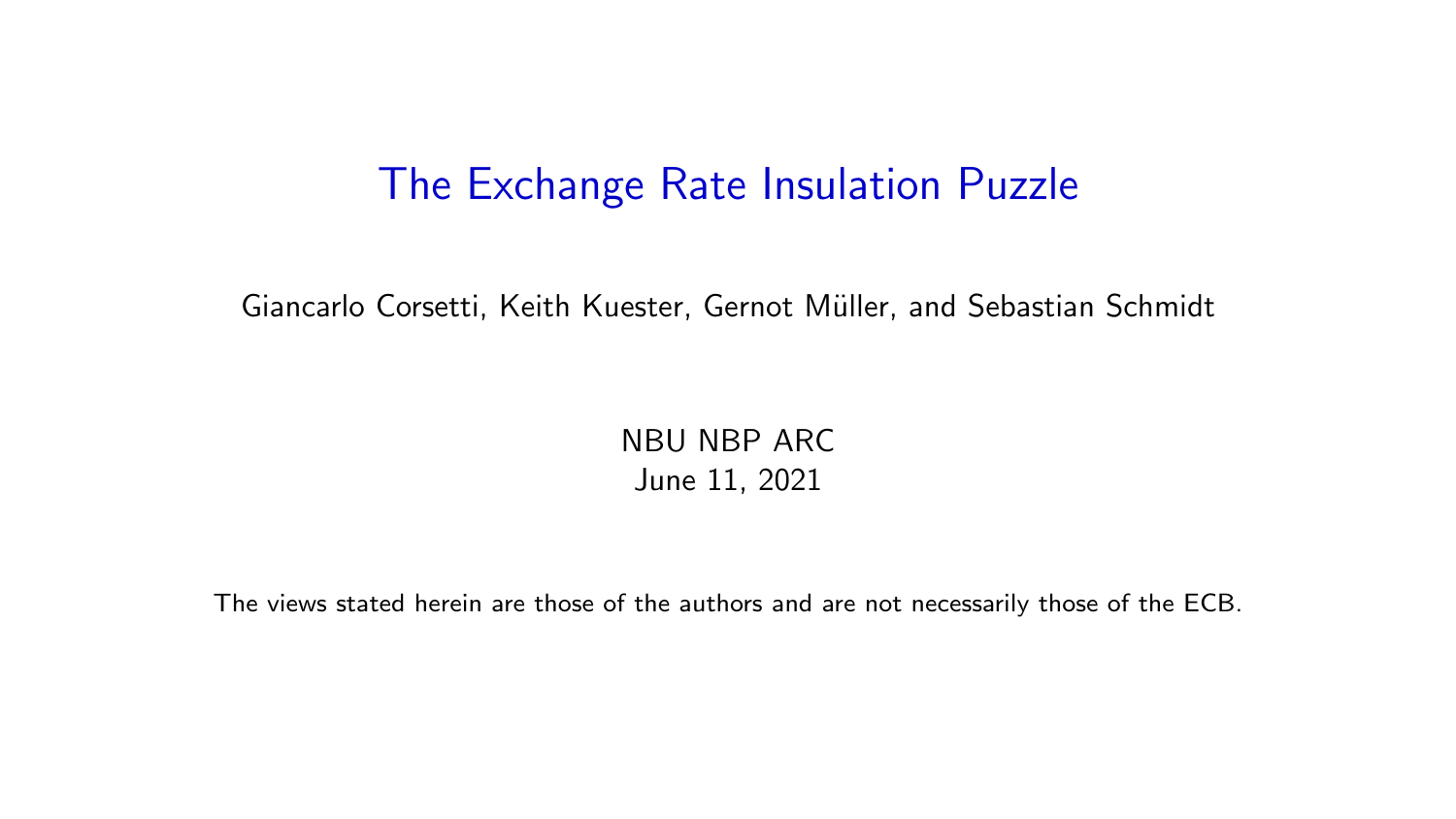#### The Exchange Rate Insulation Puzzle

Giancarlo Corsetti, Keith Kuester, Gernot Müller, and Sebastian Schmidt

NBU NBP ARC June 11, 2021

The views stated herein are those of the authors and are not necessarily those of the ECB.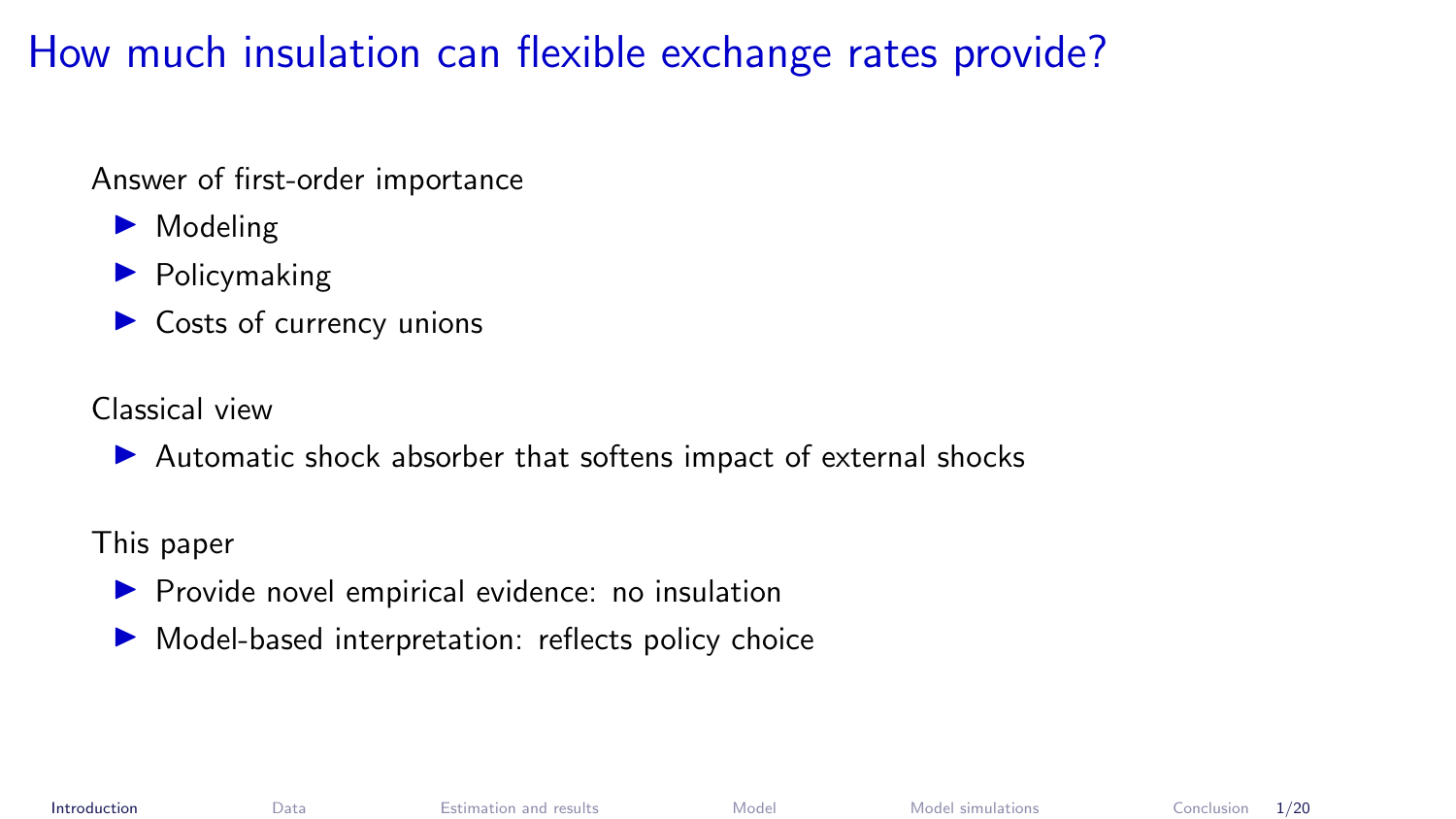# <span id="page-1-0"></span>How much insulation can flexible exchange rates provide?

Answer of first-order importance

- $\blacktriangleright$  Modeling
- $\blacktriangleright$  Policymaking
- $\triangleright$  Costs of currency unions

Classical view

 $\blacktriangleright$  Automatic shock absorber that softens impact of external shocks

This paper

- $\blacktriangleright$  Provide novel empirical evidence: no insulation
- $\blacktriangleright$  Model-based interpretation: reflects policy choice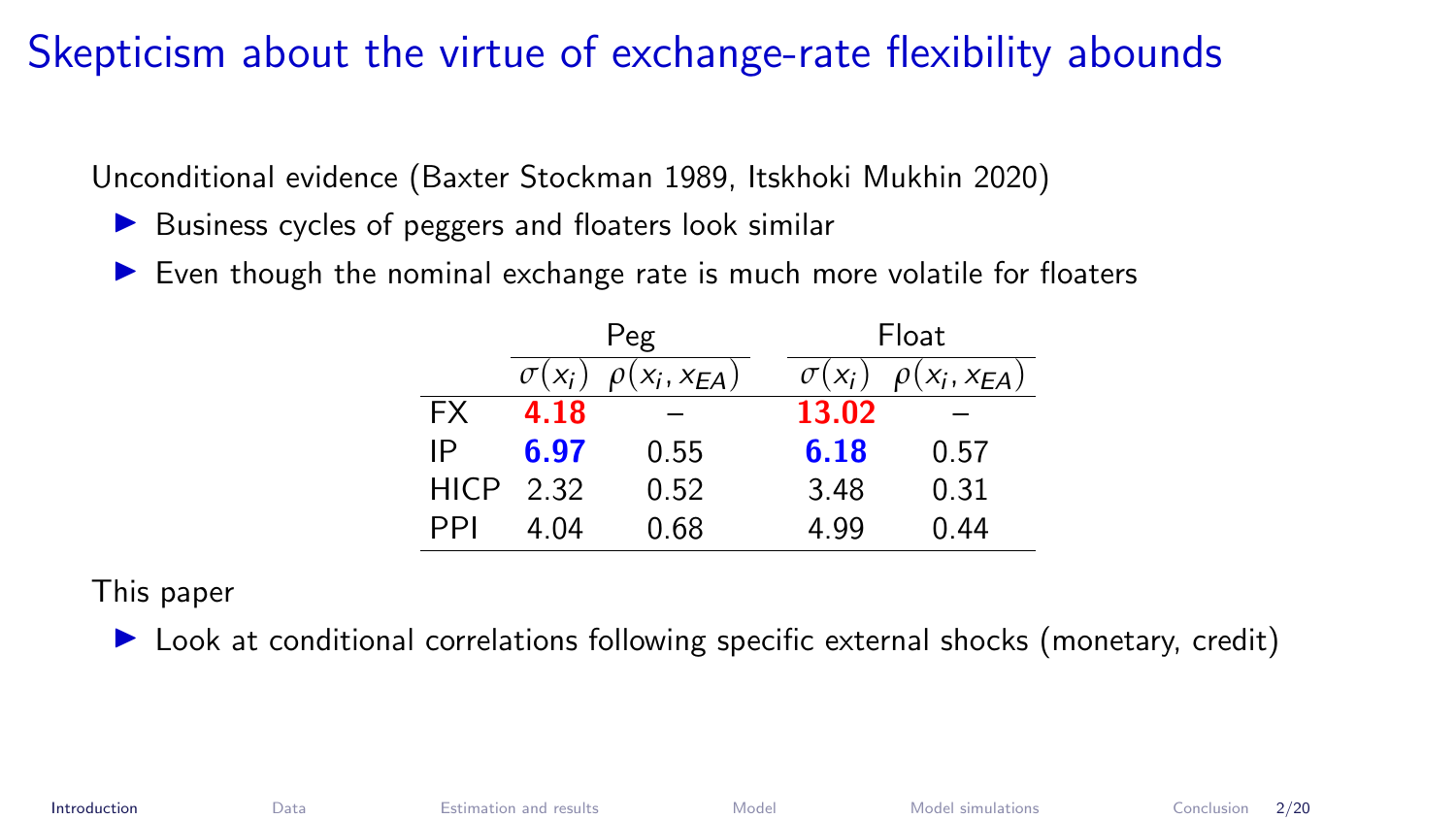#### Skepticism about the virtue of exchange-rate flexibility abounds

Unconditional evidence (Baxter Stockman 1989, Itskhoki Mukhin 2020)

- $\triangleright$  Business cycles of peggers and floaters look similar
- $\triangleright$  Even though the nominal exchange rate is much more volatile for floaters

|             | Peg           |                     |               | Float               |  |
|-------------|---------------|---------------------|---------------|---------------------|--|
|             | $\sigma(x_i)$ | $\rho(x_i, x_{EA})$ | $\sigma(x_i)$ | $\rho(x_i, x_{EA})$ |  |
| <b>FX</b>   | 4.18          |                     | 13.02         |                     |  |
| IP          | 6.97          | 0.55                | 6.18          | 0.57                |  |
| <b>HICP</b> | 2.32          | 0.52                | 3.48          | 0.31                |  |
| PPI         | 4.04          | 0.68                | 4.99          | 0.44                |  |

This paper

 $\triangleright$  Look at conditional correlations following specific external shocks (monetary, credit)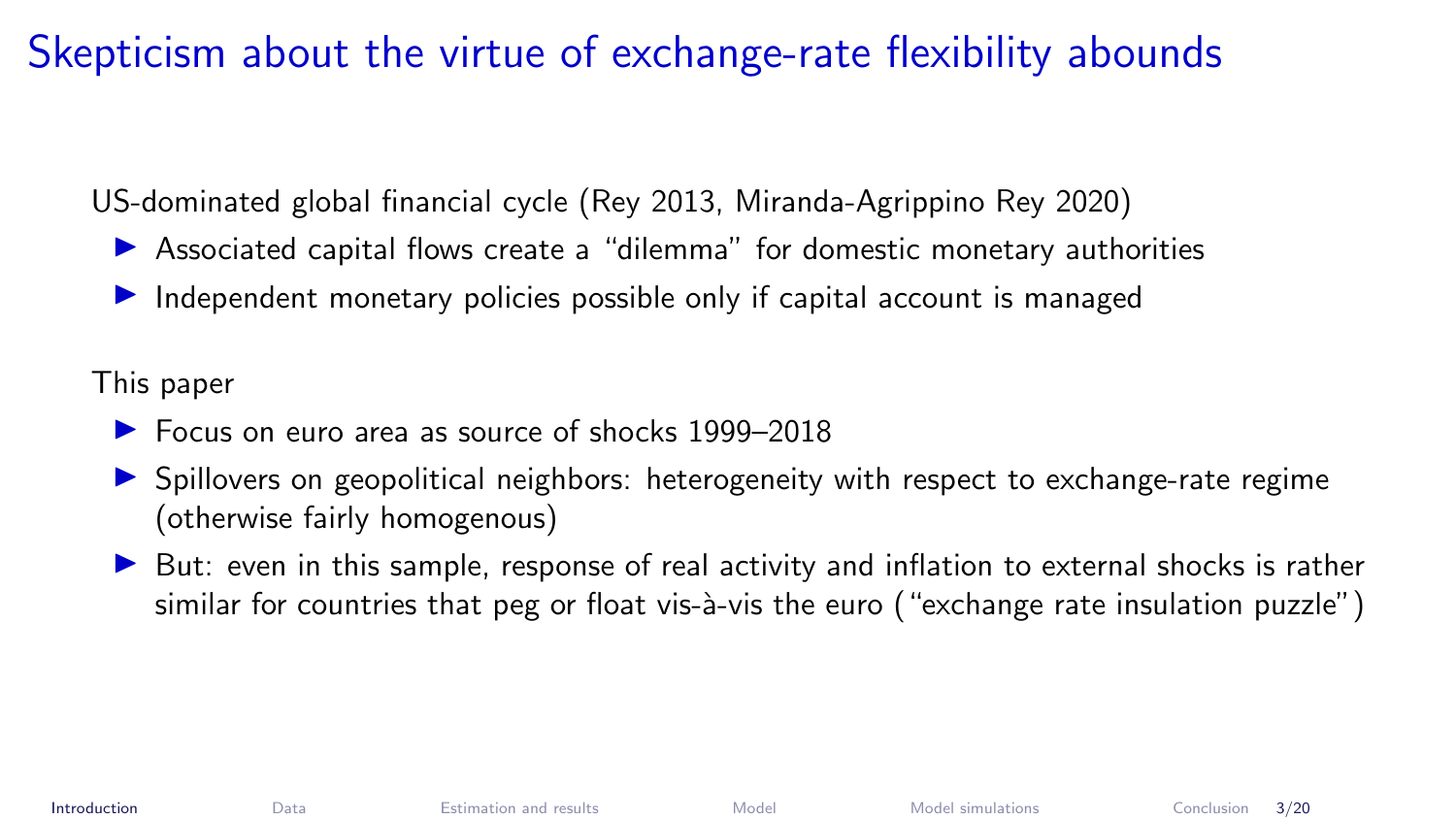### Skepticism about the virtue of exchange-rate flexibility abounds

US-dominated global financial cycle (Rey 2013, Miranda-Agrippino Rey 2020)

- $\triangleright$  Associated capital flows create a "dilemma" for domestic monetary authorities
- $\triangleright$  Independent monetary policies possible only if capital account is managed

This paper

- ▶ Focus on euro area as source of shocks 1999–2018
- **In Spillovers on geopolitical neighbors: heterogeneity with respect to exchange-rate regime** (otherwise fairly homogenous)
- $\triangleright$  But: even in this sample, response of real activity and inflation to external shocks is rather similar for countries that peg or float vis-à-vis the euro ("exchange rate insulation puzzle")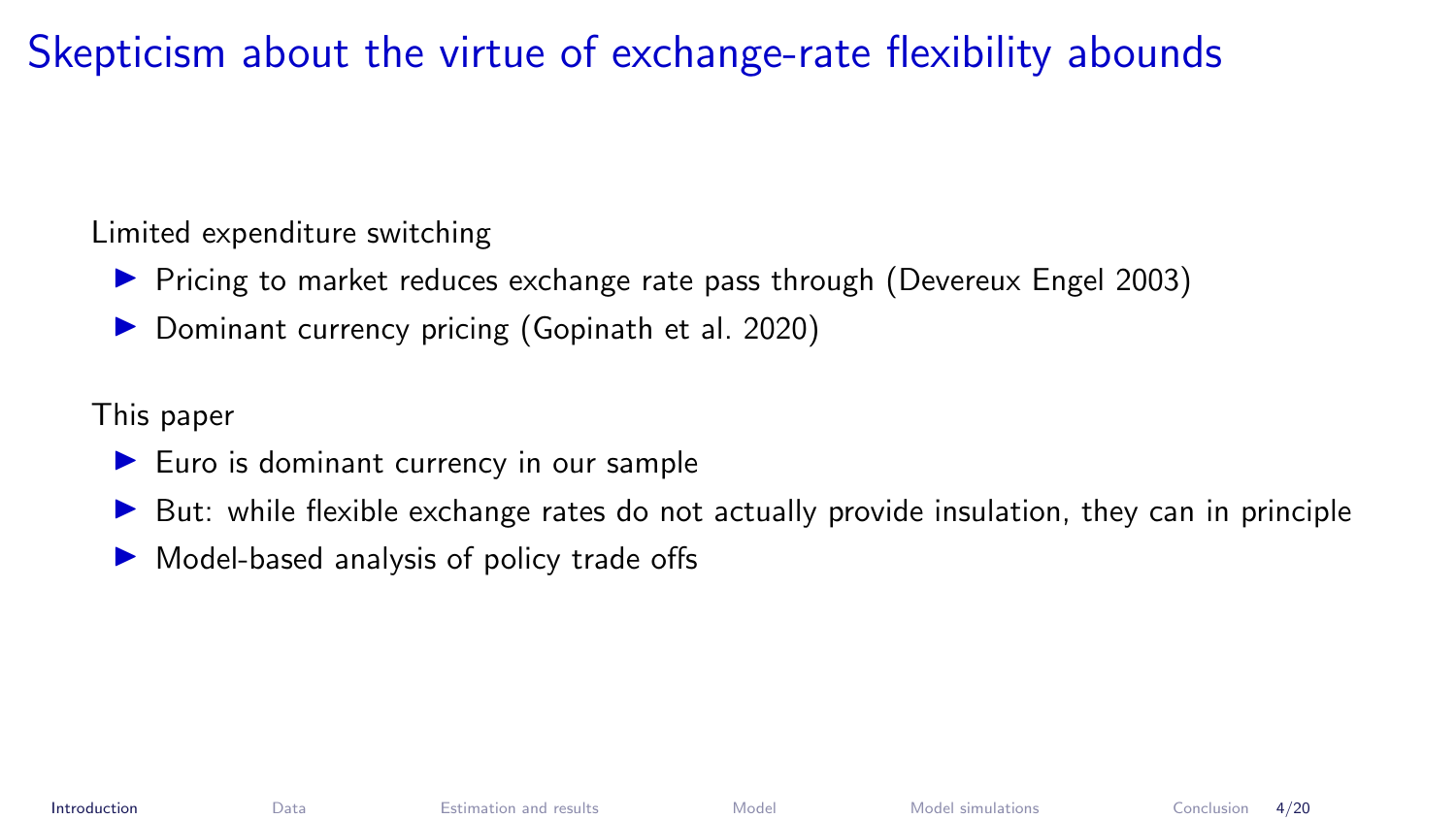# Skepticism about the virtue of exchange-rate flexibility abounds

Limited expenditure switching

- ▶ Pricing to market reduces exchange rate pass through (Devereux Engel 2003)
- Dominant currency pricing (Gopinath et al. 2020)

This paper

- $\blacktriangleright$  Euro is dominant currency in our sample
- $\triangleright$  But: while flexible exchange rates do not actually provide insulation, they can in principle
- $\triangleright$  Model-based analysis of policy trade offs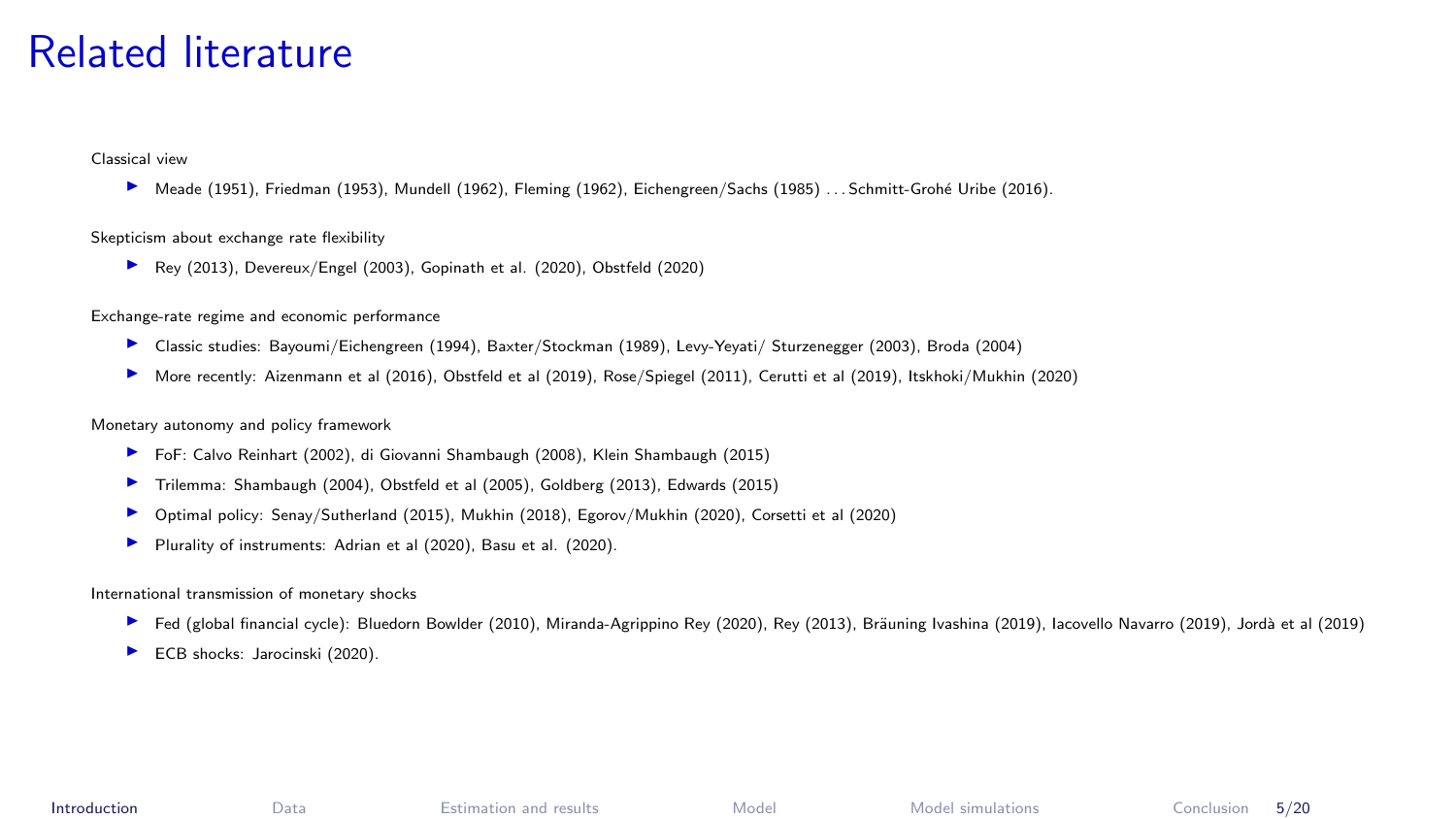#### Related literature

Classical view

■ Meade (1951), Friedman (1953), Mundell (1962), Fleming (1962), Eichengreen/Sachs (1985) . . . Schmitt-Grohé Uribe (2016).

#### Skepticism about exchange rate flexibility

▶ Rev (2013), Devereux/Engel (2003), Gopinath et al. (2020), Obstfeld (2020)

Exchange-rate regime and economic performance

- ▶ Classic studies: Bayoumi/Eichengreen (1994), Baxter/Stockman (1989), Levy-Yeyati/ Sturzenegger (2003), Broda (2004)
- More recently: Aizenmann et al (2016), Obstfeld et al (2019), Rose/Spiegel (2011), Cerutti et al (2019), Itskhoki/Mukhin (2020)

Monetary autonomy and policy framework

- <sup>I</sup> FoF: Calvo Reinhart (2002), di Giovanni Shambaugh (2008), Klein Shambaugh (2015)
- $\blacktriangleright$  Trilemma: Shambaugh (2004), Obstfeld et al (2005), Goldberg (2013), Edwards (2015)
- ▶ Optimal policy: Senay/Sutherland (2015), Mukhin (2018), Egorov/Mukhin (2020), Corsetti et al (2020)
- ▶ Plurality of instruments: Adrian et al (2020), Basu et al. (2020).

#### International transmission of monetary shocks

- ► Fed (global financial cycle): Bluedorn Bowlder (2010), Miranda-Agrippino Rey (2020), Rey (2013), Bräuning Ivashina (2019), lacovello Navarro (2019), Jordà et al (2019)
- $\blacktriangleright$  ECB shocks: Jarocinski (2020).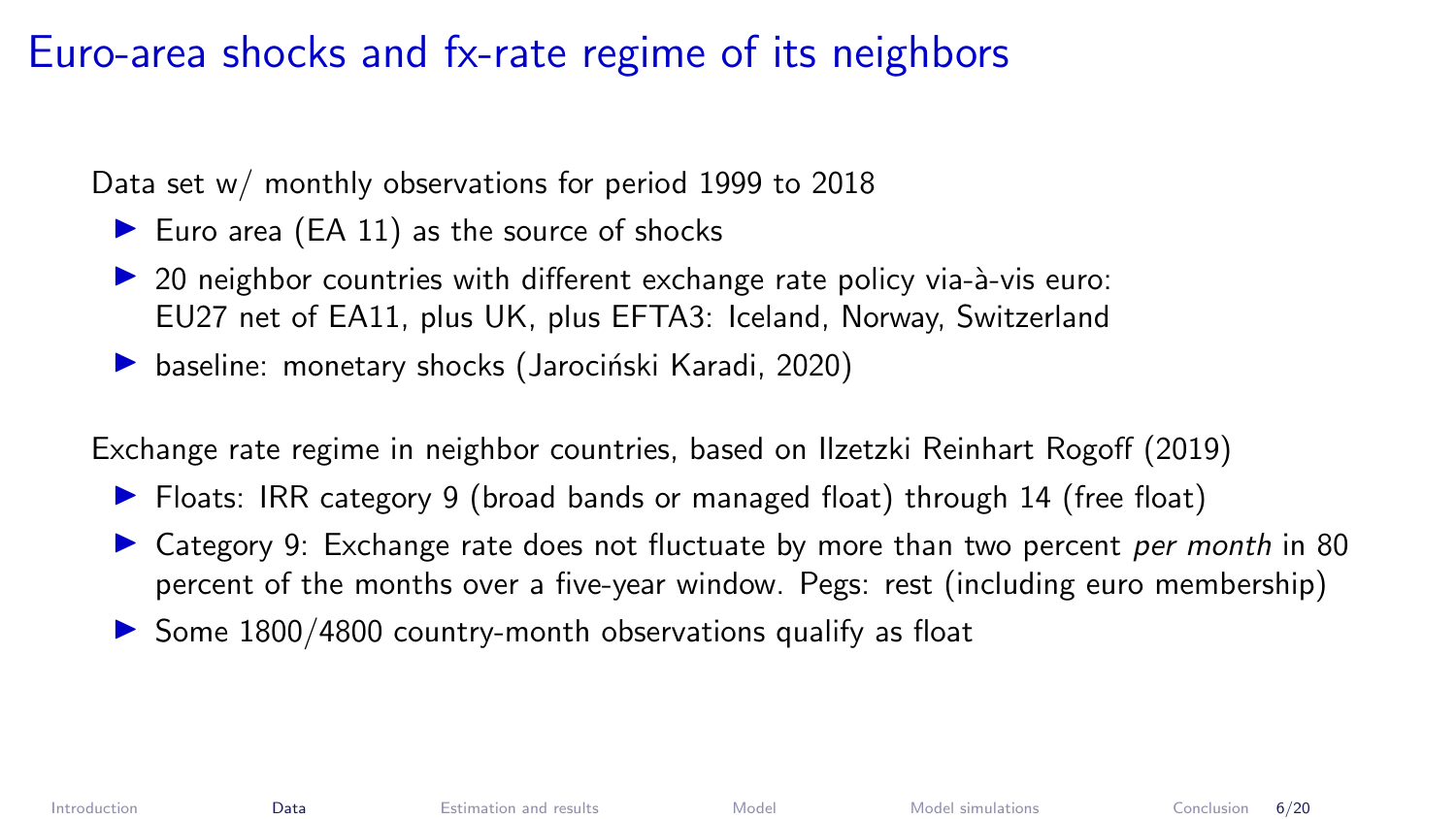#### <span id="page-6-0"></span>Euro-area shocks and fx-rate regime of its neighbors

Data set w/ monthly observations for period 1999 to 2018

- Euro area  $(EA 11)$  as the source of shocks
- 20 neighbor countries with different exchange rate policy via-à-vis euro: EU27 net of EA11, plus UK, plus EFTA3: Iceland, Norway, Switzerland
- $\triangleright$  baseline: monetary shocks (Jarociński Karadi, 2020)

Exchange rate regime in neighbor countries, based on Ilzetzki Reinhart Rogoff (2019)

- ▶ Floats: IRR category 9 (broad bands or managed float) through 14 (free float)
- In Category 9: Exchange rate does not fluctuate by more than two percent per month in 80 percent of the months over a five-year window. Pegs: rest (including euro membership)
- $\triangleright$  Some 1800/4800 country-month observations qualify as float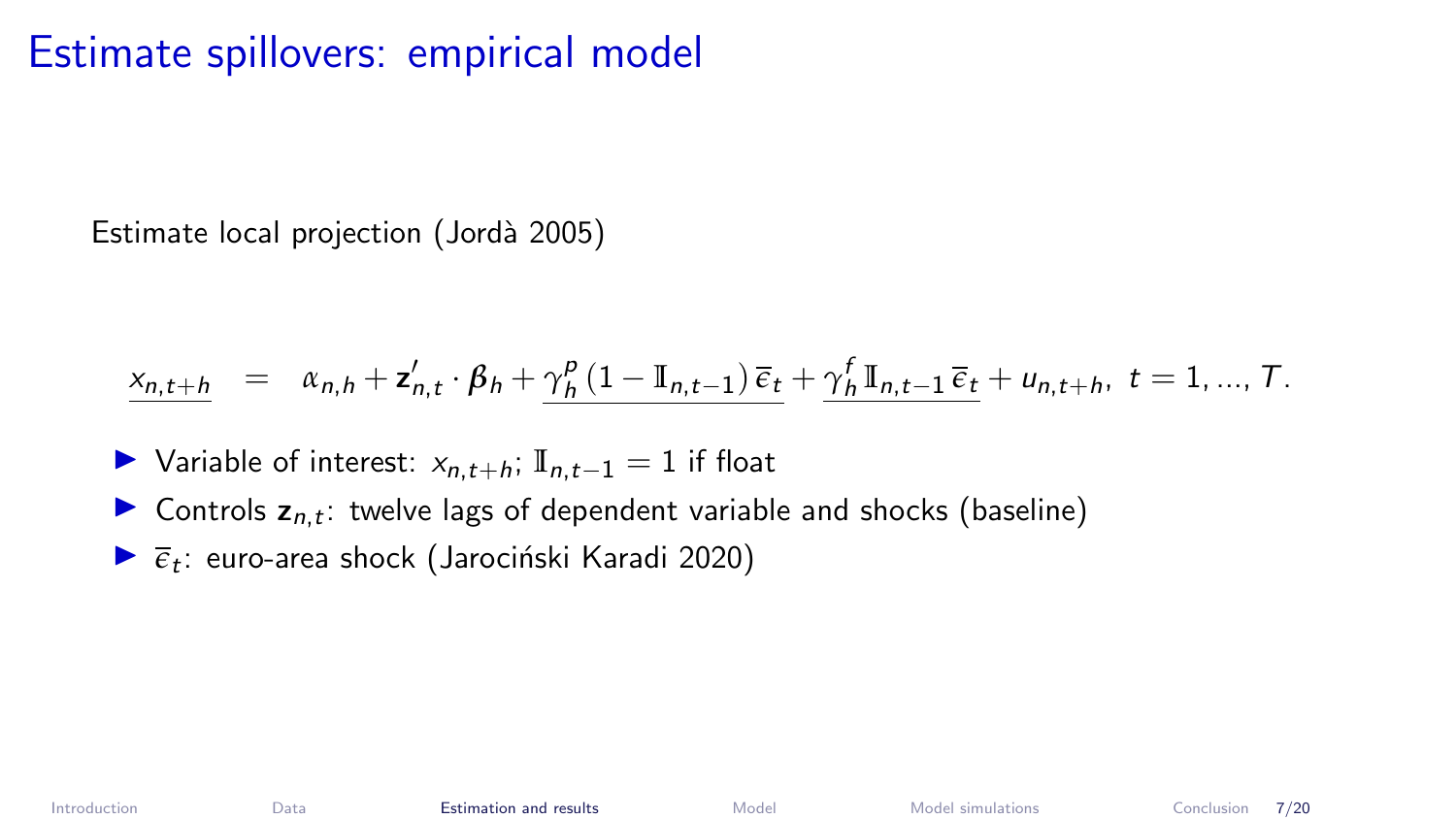### <span id="page-7-0"></span>Estimate spillovers: empirical model

Estimate local projection (Jordà 2005)

$$
\underline{x_{n,t+h}} = \alpha_{n,h} + \mathbf{z}_{n,t}' \cdot \beta_h + \underline{\gamma_h^p (1 - \mathbb{I}_{n,t-1}) \, \overline{\epsilon}_t} + \underline{\gamma_h^f \, \mathbb{I}_{n,t-1} \, \overline{\epsilon}_t} + u_{n,t+h}, \ t = 1, ..., T.
$$

- $\triangleright$  Variable of interest:  $x_{n,t+h}$ ; **I**<sub>n,t-1</sub> = 1 if float
- **Controls**  $z_{n,t}$ **:** twelve lags of dependent variable and shocks (baseline)
- $\blacktriangleright$   $\overline{\epsilon}_t$ : euro-area shock (Jarociński Karadi 2020)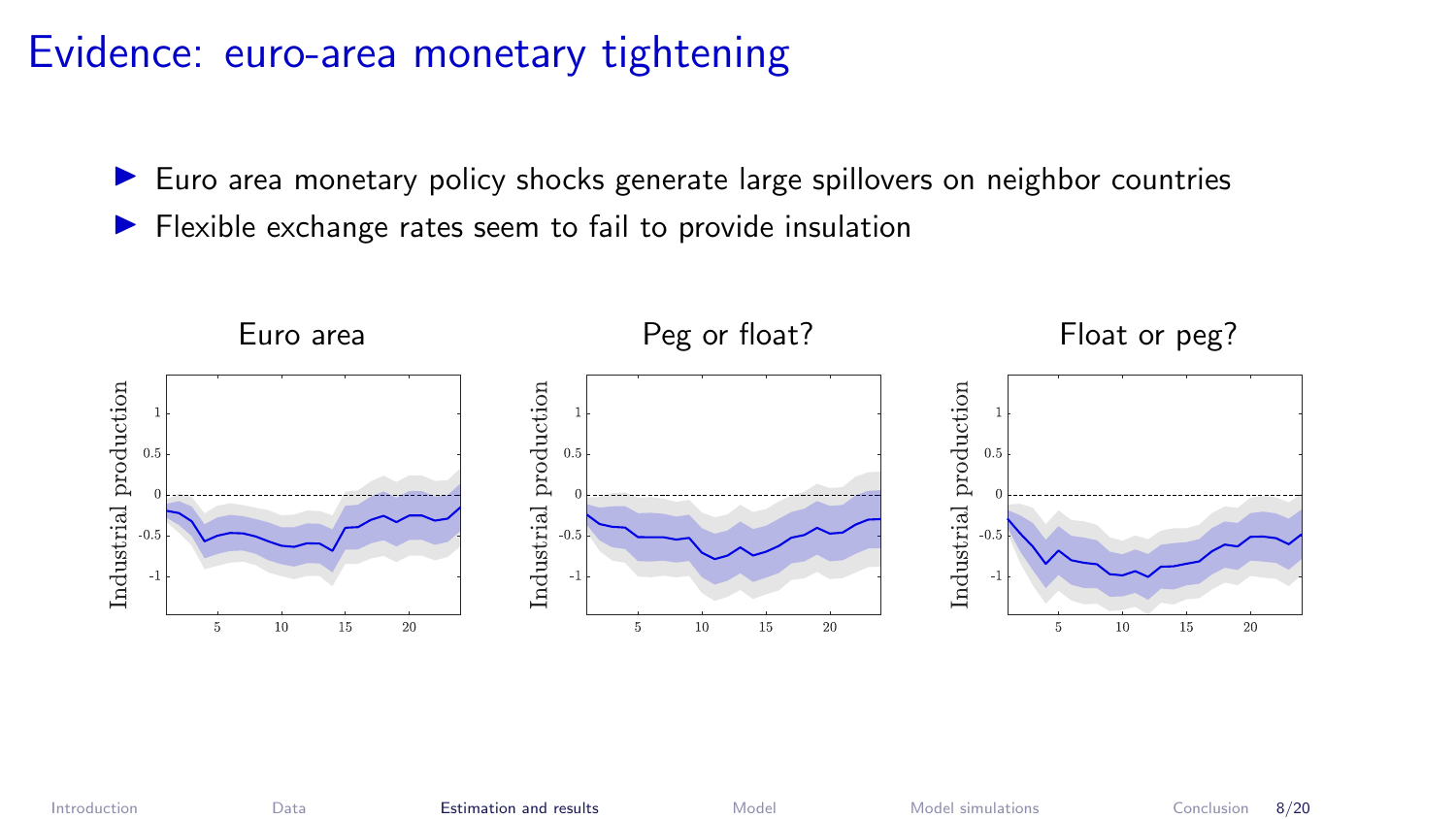#### Evidence: euro-area monetary tightening

- $\blacktriangleright$  Euro area monetary policy shocks generate large spillovers on neighbor countries
- $\blacktriangleright$  Flexible exchange rates seem to fail to provide insulation

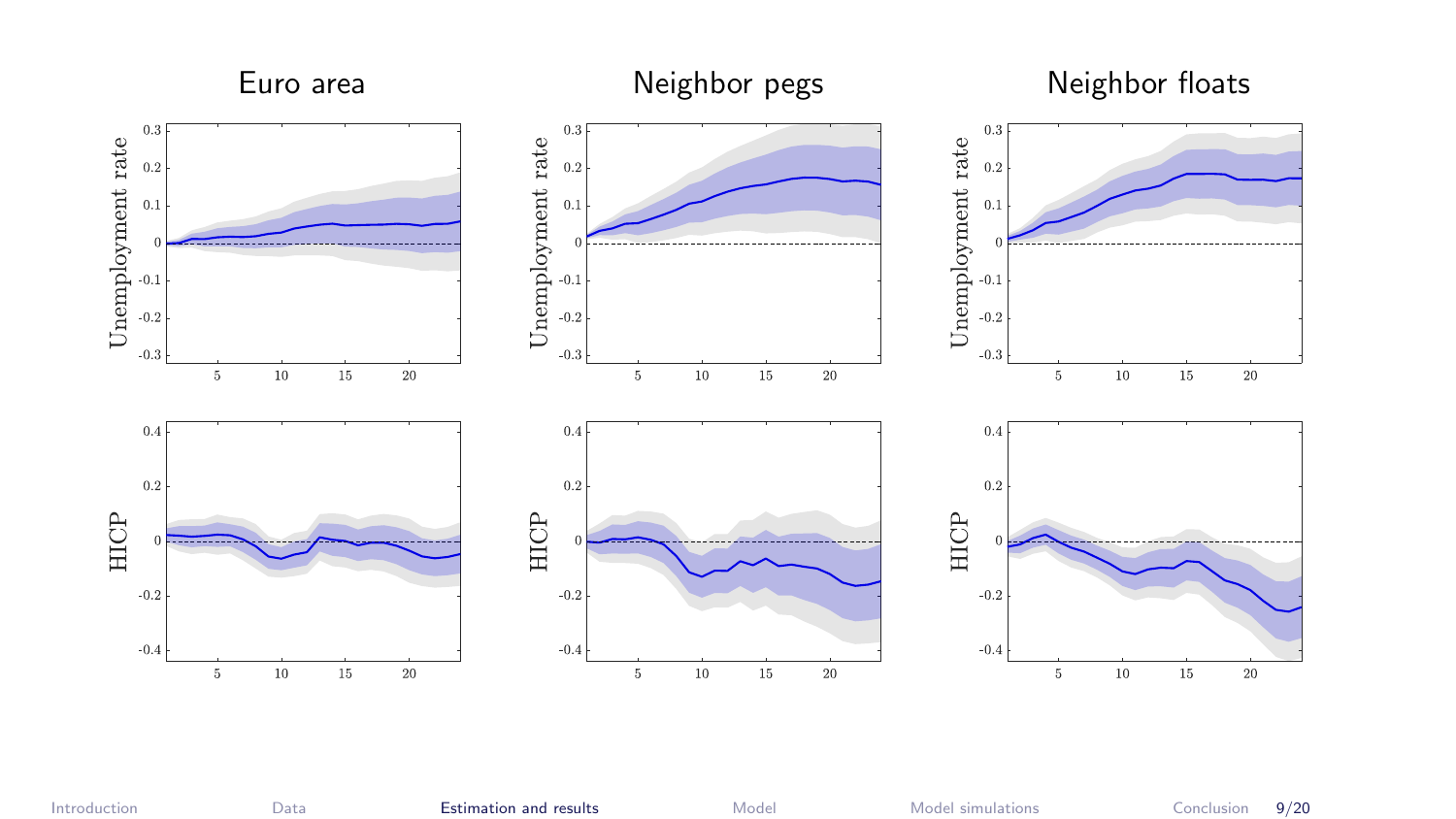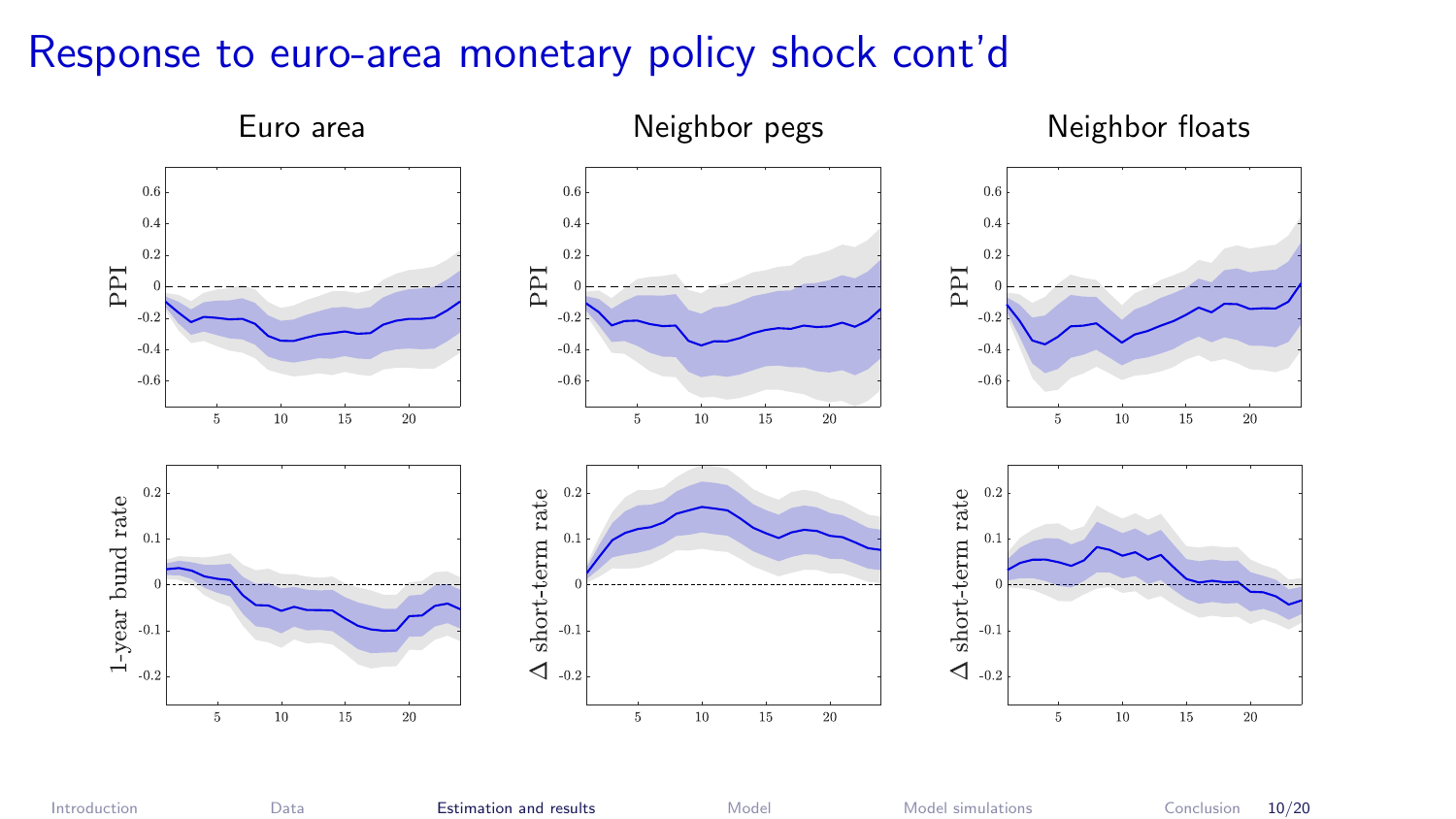#### Response to euro-area monetary policy shock cont'd

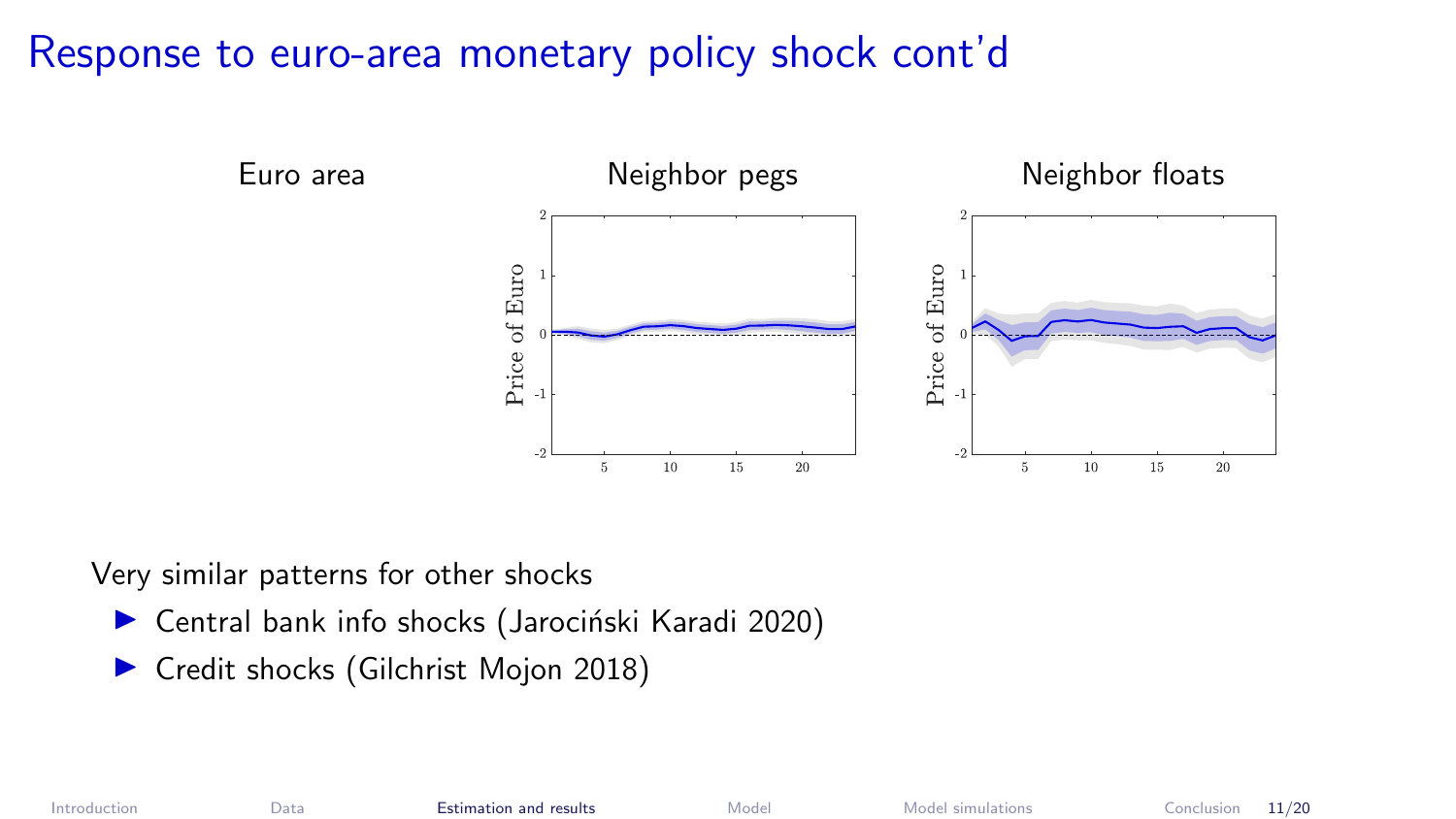#### Response to euro-area monetary policy shock cont'd



Very similar patterns for other shocks

- $\triangleright$  Central bank info shocks (Jarociński Karadi 2020)
- **In Credit shocks (Gilchrist Mojon 2018)**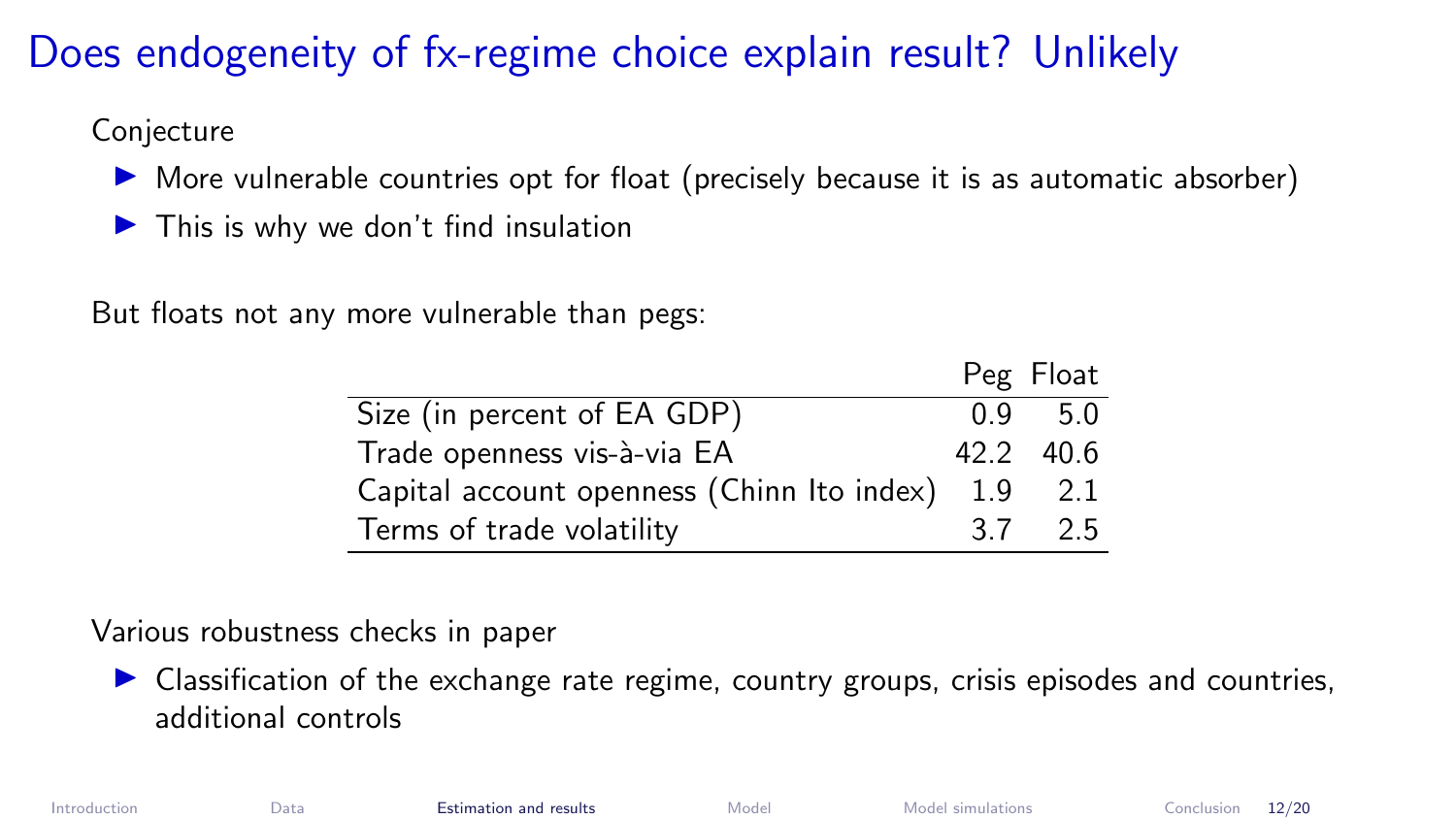# Does endogeneity of fx-regime choice explain result? Unlikely

Conjecture

- $\triangleright$  More vulnerable countries opt for float (precisely because it is as automatic absorber)
- $\blacktriangleright$  This is why we don't find insulation

But floats not any more vulnerable than pegs:

|                                            |     | Peg Float         |
|--------------------------------------------|-----|-------------------|
| Size (in percent of EA GDP)                | 0.9 | -5.0              |
| Trade openness vis-à-via EA                |     | $42.2 \quad 40.6$ |
| Capital account openness (Chinn Ito index) | 1.9 | 2.1               |
| Terms of trade volatility                  | 3 Z | 25                |

#### Various robustness checks in paper

 $\triangleright$  Classification of the exchange rate regime, country groups, crisis episodes and countries, additional controls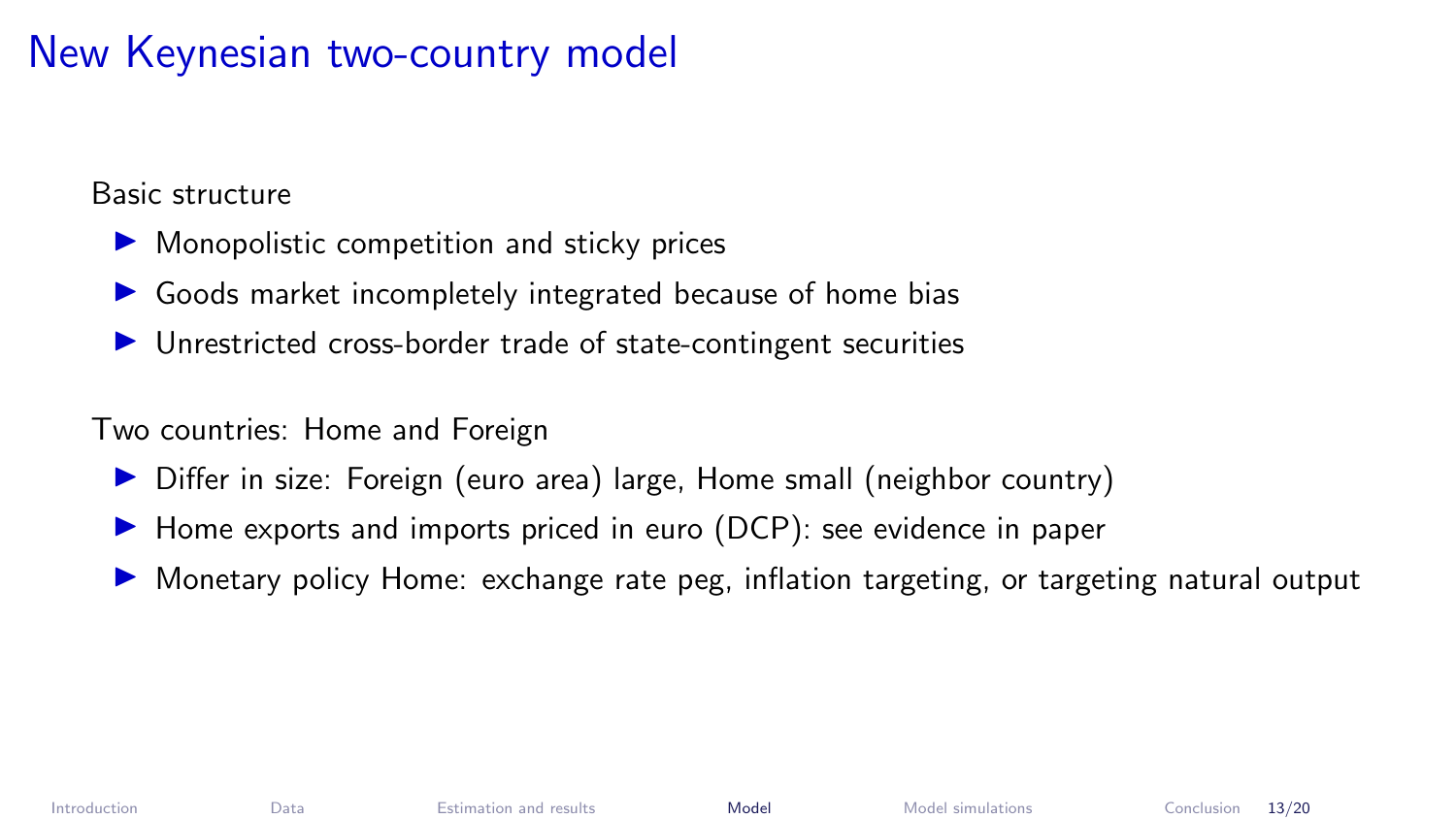# <span id="page-13-0"></span>New Keynesian two-country model

Basic structure

- $\triangleright$  Monopolistic competition and sticky prices
- $\triangleright$  Goods market incompletely integrated because of home bias
- $\triangleright$  Unrestricted cross-border trade of state-contingent securities

Two countries: Home and Foreign

- ▶ Differ in size: Foreign (euro area) large, Home small (neighbor country)
- $\blacktriangleright$  Home exports and imports priced in euro (DCP): see evidence in paper
- ▶ Monetary policy Home: exchange rate peg, inflation targeting, or targeting natural output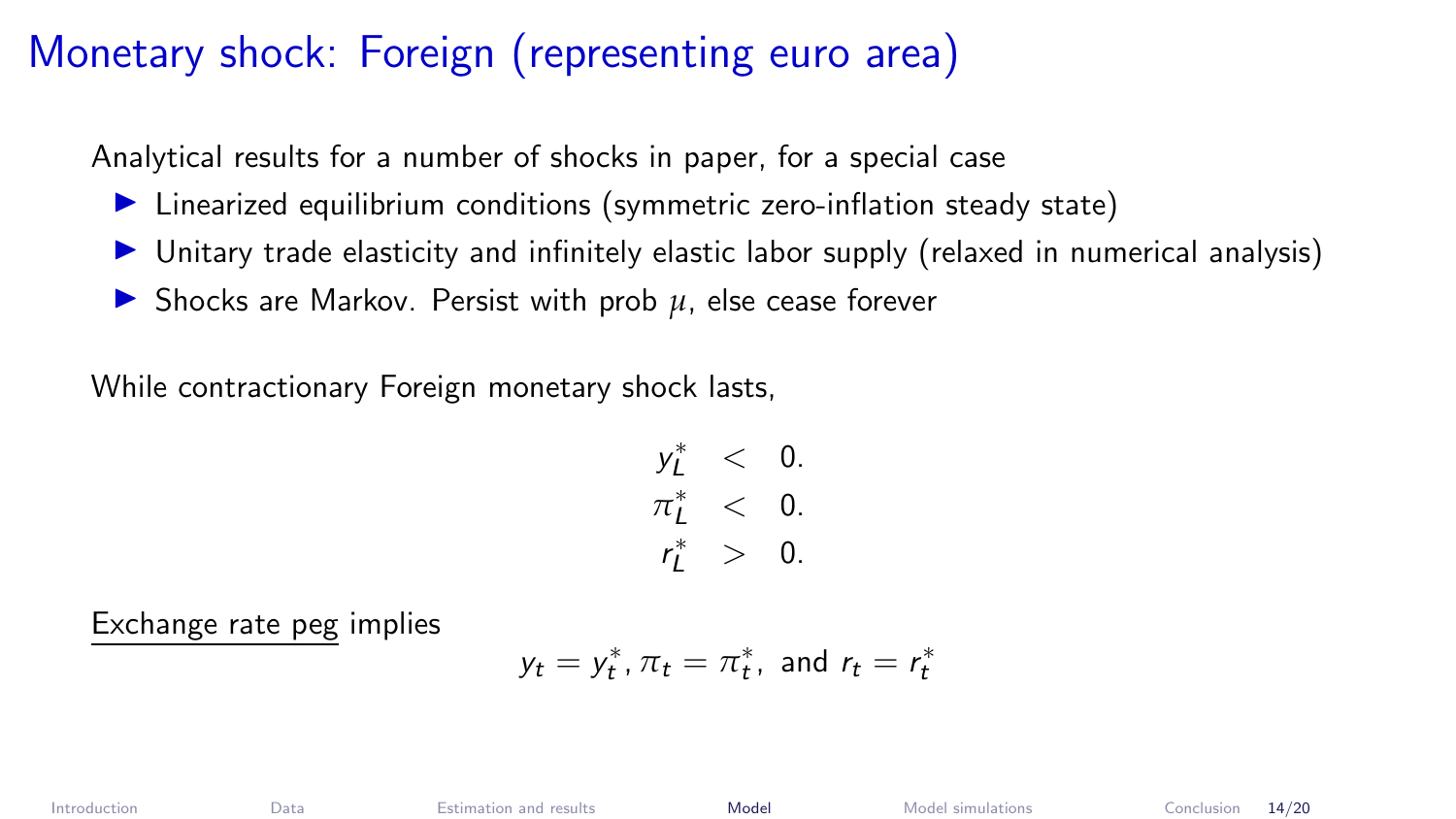# Monetary shock: Foreign (representing euro area)

Analytical results for a number of shocks in paper, for a special case

- Inearized equilibrium conditions (symmetric zero-inflation steady state)
- I Unitary trade elasticity and infinitely elastic labor supply (relaxed in numerical analysis)
- ▶ Shocks are Markov. Persist with prob *u*, else cease forever

While contractionary Foreign monetary shock lasts,

$$
y_L^* < 0. \\
\pi_L^* < 0. \\
r_L^* > 0.
$$

Exchange rate peg implies

$$
y_t = y_t^*, \pi_t = \pi_t^*, \text{ and } r_t = r_t^*
$$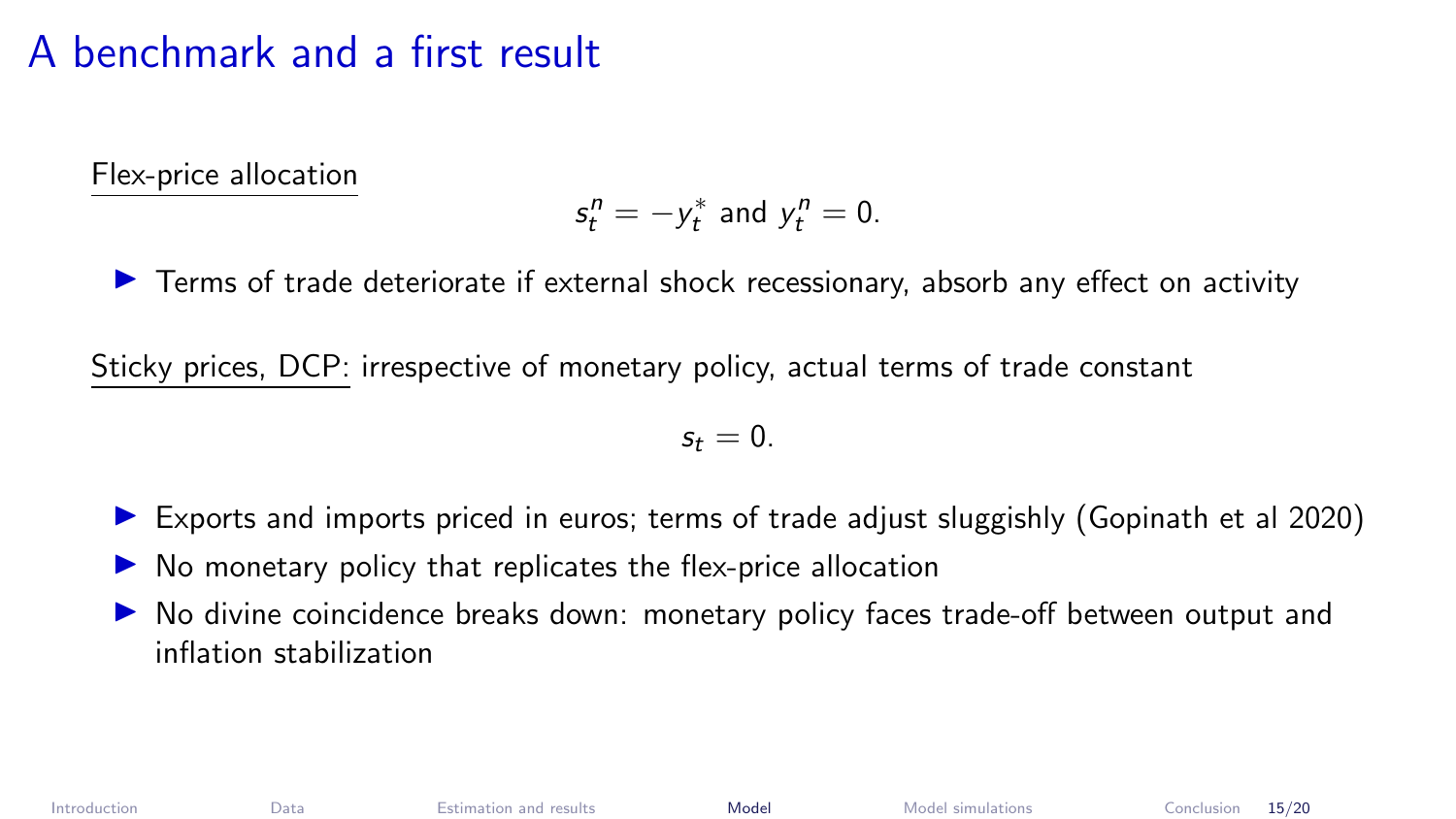#### A benchmark and a first result

Flex-price allocation

$$
s_t^n = -y_t^*
$$
 and  $y_t^n = 0$ .

 $\blacktriangleright$  Terms of trade deteriorate if external shock recessionary, absorb any effect on activity

Sticky prices, DCP: irrespective of monetary policy, actual terms of trade constant

$$
s_t=0.
$$

- $\triangleright$  Exports and imports priced in euros; terms of trade adjust sluggishly (Gopinath et al 2020)
- No monetary policy that replicates the flex-price allocation
- No divine coincidence breaks down: monetary policy faces trade-off between output and inflation stabilization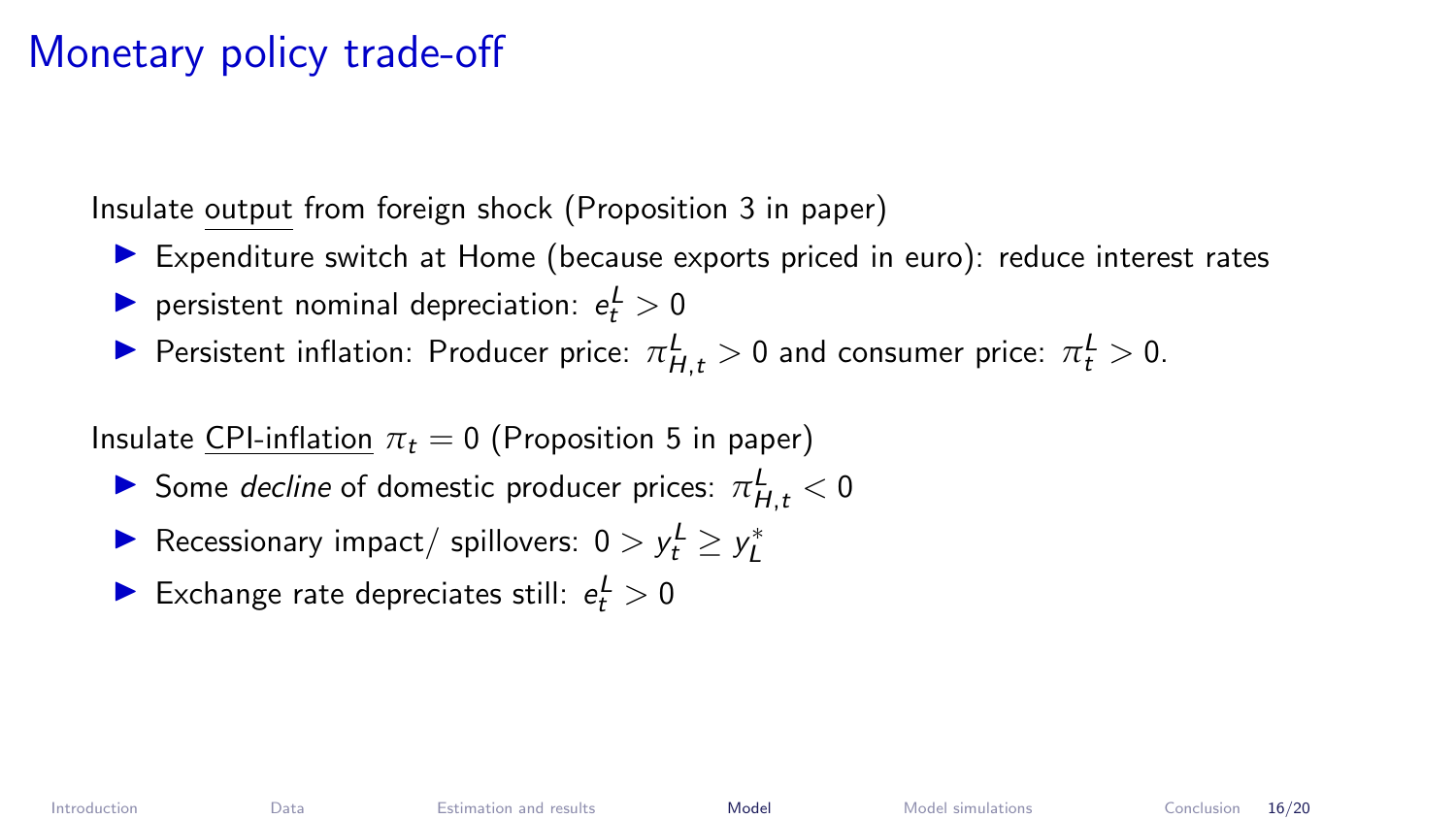# Monetary policy trade-off

Insulate output from foreign shock (Proposition 3 in paper)

- $\blacktriangleright$  Expenditure switch at Home (because exports priced in euro): reduce interest rates
- reresistent nominal depreciation:  $e_t^L > 0$
- **Persistent inflation: Producer price:**  $\pi_{H,t}^L > 0$  and consumer price:  $\pi_t^L > 0$ .

Insulate CPI-inflation  $\pi_t = 0$  (Proposition 5 in paper)

- Some *decline* of domestic producer prices:  $\pi_{H,t}^L < 0$
- Recessionary impact/ spillovers:  $0 > y_t^L \ge y_L^*$
- Exchange rate depreciates still:  $e_t^L > 0$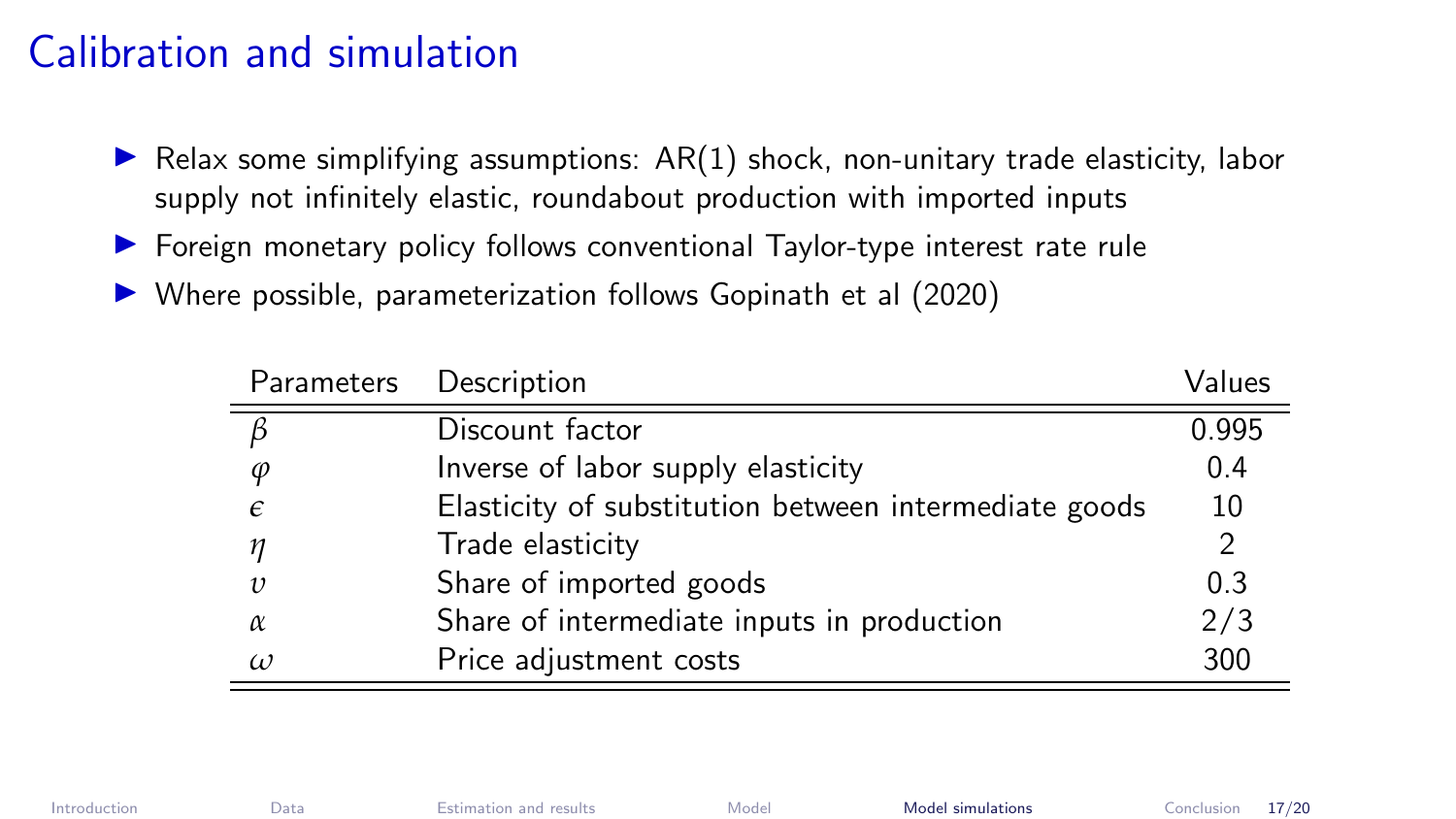#### <span id="page-17-0"></span>Calibration and simulation

- $\triangleright$  Relax some simplifying assumptions:  $AR(1)$  shock, non-unitary trade elasticity, labor supply not infinitely elastic, roundabout production with imported inputs
- **In Foreign monetary policy follows conventional Taylor-type interest rate rule**
- $\triangleright$  Where possible, parameterization follows Gopinath et al (2020)

|            | Parameters Description                                | Values        |
|------------|-------------------------------------------------------|---------------|
| ß          | Discount factor                                       | 0.995         |
| $\varphi$  | Inverse of labor supply elasticity                    | 0.4           |
| $\epsilon$ | Elasticity of substitution between intermediate goods | 10            |
| п          | Trade elasticity                                      | $\mathcal{P}$ |
| $\upsilon$ | Share of imported goods                               | 0.3           |
| α          | Share of intermediate inputs in production            | 2/3           |
| $\omega$   | Price adjustment costs                                | 300           |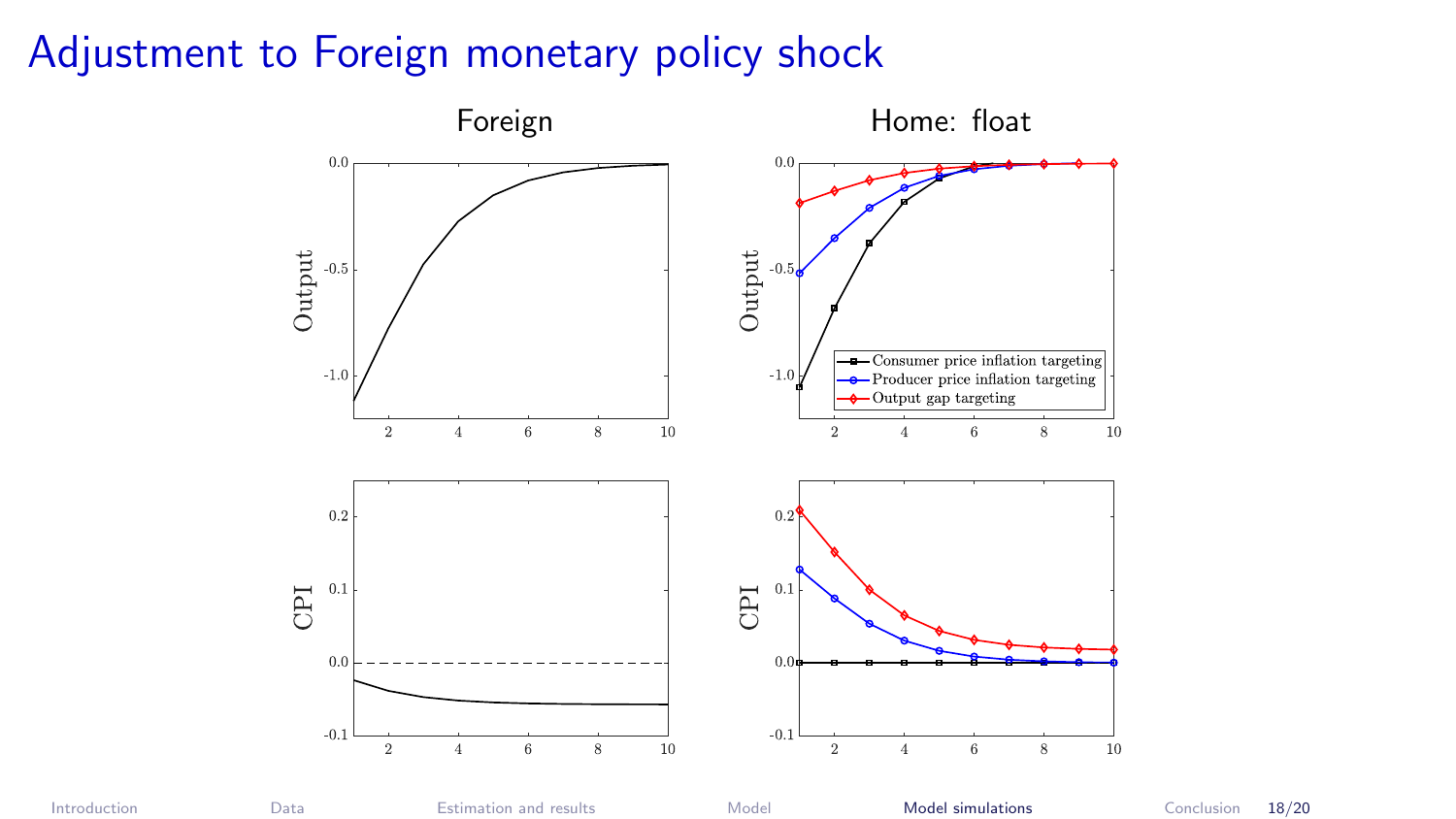# Adjustment to Foreign monetary policy shock

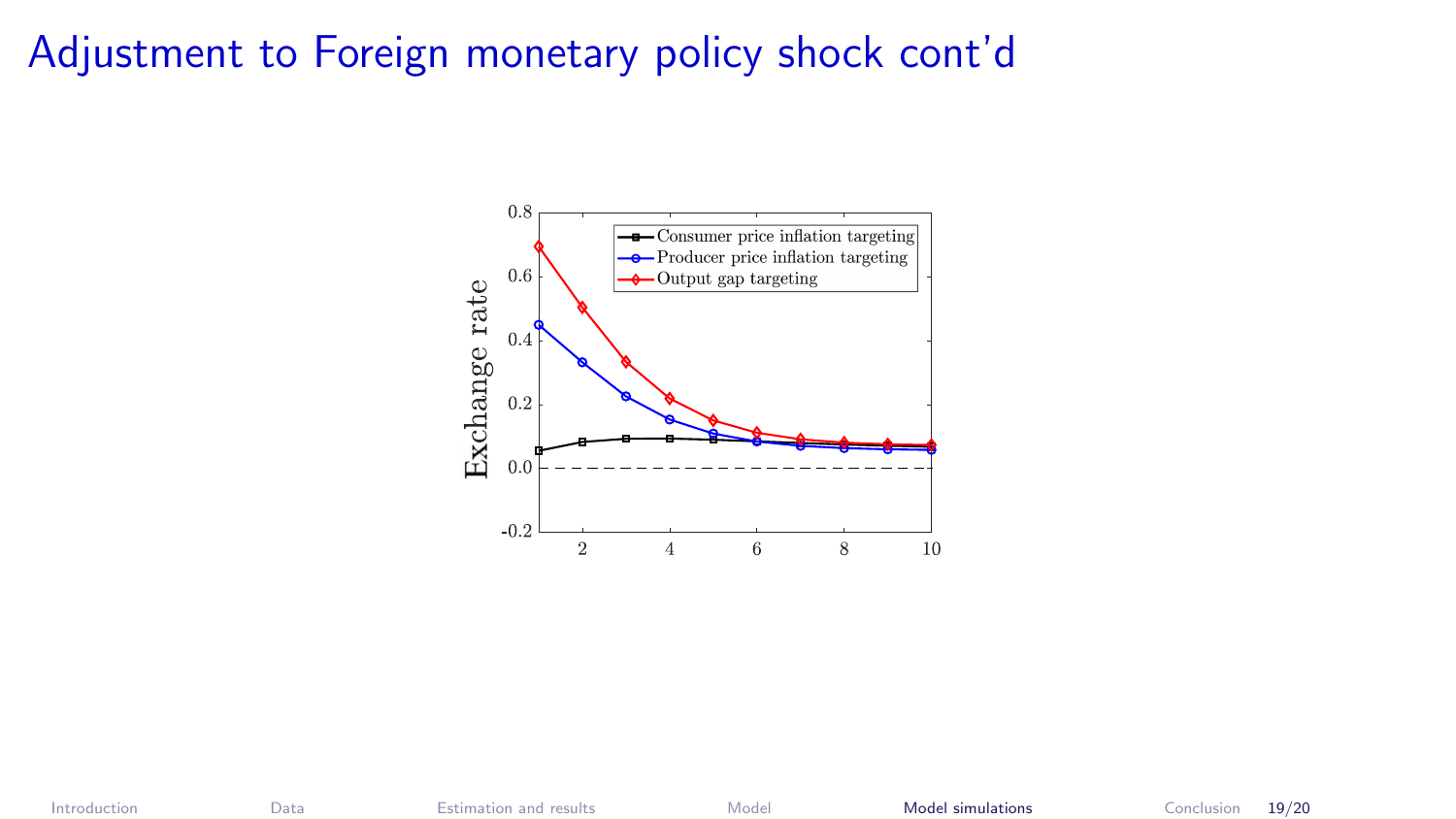## Adjustment to Foreign monetary policy shock cont'd